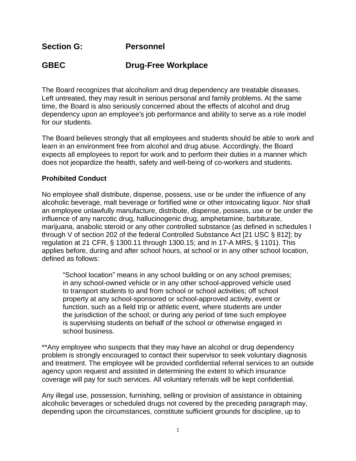**Section G: Personnel**

## **GBEC Drug-Free Workplace**

The Board recognizes that alcoholism and drug dependency are treatable diseases. Left untreated, they may result in serious personal and family problems. At the same time, the Board is also seriously concerned about the effects of alcohol and drug dependency upon an employee's job performance and ability to serve as a role model for our students.

The Board believes strongly that all employees and students should be able to work and learn in an environment free from alcohol and drug abuse. Accordingly, the Board expects all employees to report for work and to perform their duties in a manner which does not jeopardize the health, safety and well-being of co-workers and students.

## **Prohibited Conduct**

No employee shall distribute, dispense, possess, use or be under the influence of any alcoholic beverage, malt beverage or fortified wine or other intoxicating liquor. Nor shall an employee unlawfully manufacture, distribute, dispense, possess, use or be under the influence of any narcotic drug, hallucinogenic drug, amphetamine, barbiturate, marijuana, anabolic steroid or any other controlled substance (as defined in schedules I through V of section 202 of the federal Controlled Substance Act [21 USC § 812]; by regulation at 21 CFR, § 1300.11 through 1300.15; and in 17-A MRS, § 1101). This applies before, during and after school hours, at school or in any other school location, defined as follows:

"School location" means in any school building or on any school premises; in any school-owned vehicle or in any other school-approved vehicle used to transport students to and from school or school activities; off school property at any school-sponsored or school-approved activity, event or function, such as a field trip or athletic event, where students are under the jurisdiction of the school; or during any period of time such employee is supervising students on behalf of the school or otherwise engaged in school business.

\*\*Any employee who suspects that they may have an alcohol or drug dependency problem is strongly encouraged to contact their supervisor to seek voluntary diagnosis and treatment. The employee will be provided confidential referral services to an outside agency upon request and assisted in determining the extent to which insurance coverage will pay for such services. All voluntary referrals will be kept confidential.

Any illegal use, possession, furnishing, selling or provision of assistance in obtaining alcoholic beverages or scheduled drugs not covered by the preceding paragraph may, depending upon the circumstances, constitute sufficient grounds for discipline, up to